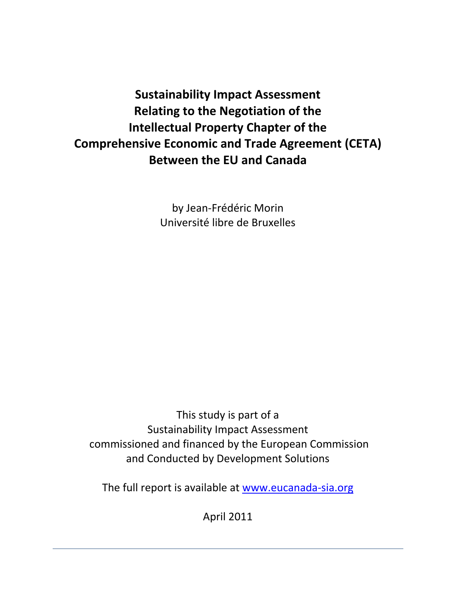**Sustainability Impact Assessment Relating to the Negotiation of the Intellectual Property Chapter of the Comprehensive Economic and Trade Agreement (CETA) Between the EU and Canada**

> by Jean‐Frédéric Morin Université libre de Bruxelles

This study is part of a Sustainability Impact Assessment  commissioned and financed by the European Commission and Conducted by Development Solutions

The full report is available at www.eucanada-sia.org

April 2011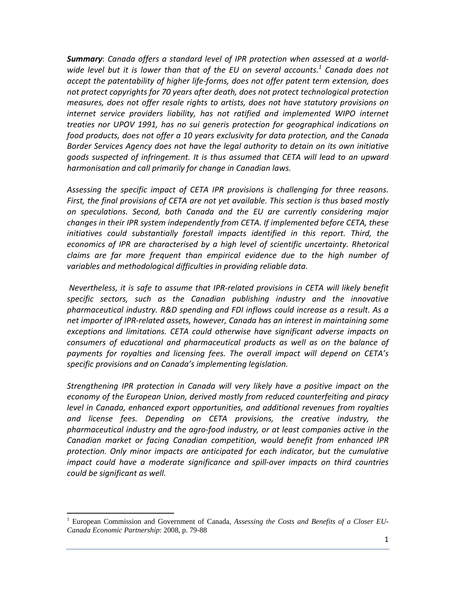*Summary*: *Canada offers a standard level of IPR protection when assessed at a world‐ wide level but it is lower than that of the EU on several accounts.1 Canada does not accept the patentability of higher life‐forms, does not offer patent term extension, does not protect copyrights for 70 years after death, does not protect technological protection measures, does not offer resale rights to artists, does not have statutory provisions on internet service providers liability, has not ratified and implemented WIPO internet treaties nor UPOV 1991, has no sui generis protection for geographical indications on food products, does not offer a 10 years exclusivity for data protection, and the Canada Border Services Agency does not have the legal authority to detain on its own initiative goods suspected of infringement. It is thus assumed that CETA will lead to an upward harmonisation and call primarily for change in Canadian laws.* 

*Assessing the specific impact of CETA IPR provisions is challenging for three reasons. First, the final provisions of CETA are not yet available. This section is thus based mostly on speculations. Second, both Canada and the EU are currently considering major changes in their IPR system independently from CETA. If implemented before CETA, these initiatives could substantially forestall impacts identified in this report. Third, the economics of IPR are characterised by a high level of scientific uncertainty. Rhetorical claims are far more frequent than empirical evidence due to the high number of variables and methodological difficulties in providing reliable data.* 

*Nevertheless, it is safe to assume that IPR‐related provisions in CETA will likely benefit specific sectors, such as the Canadian publishing industry and the innovative pharmaceutical industry. R&D spending and FDI inflows could increase as a result. As a net importer of IPR‐related assets, however, Canada has an interest in maintaining some exceptions and limitations. CETA could otherwise have significant adverse impacts on consumers of educational and pharmaceutical products as well as on the balance of payments for royalties and licensing fees. The overall impact will depend on CETA's specific provisions and on Canada's implementing legislation.* 

*Strengthening IPR protection in Canada will very likely have a positive impact on the economy of the European Union, derived mostly from reduced counterfeiting and piracy level in Canada, enhanced export opportunities, and additional revenues from royalties and license fees. Depending on CETA provisions, the creative industry, the pharmaceutical industry and the agro‐food industry, or at least companies active in the Canadian market or facing Canadian competition, would benefit from enhanced IPR protection. Only minor impacts are anticipated for each indicator, but the cumulative impact could have a moderate significance and spill‐over impacts on third countries could be significant as well.* 

<sup>&</sup>lt;sup>1</sup> European Commission and Government of Canada, Assessing the Costs and Benefits of a Closer EU-*Canada Economic Partnership*: 2008, p. 79-88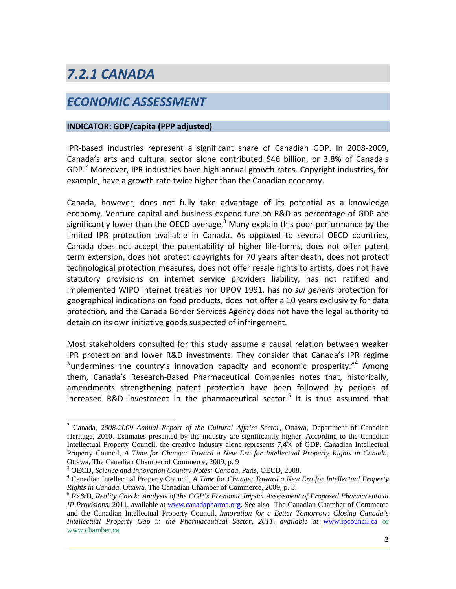# *7.2.1 CANADA*

# *ECONOMIC ASSESSMENT*

### **INDICATOR: GDP/capita (PPP adjusted)**

IPR‐based industries represent a significant share of Canadian GDP. In 2008‐2009, Canada's arts and cultural sector alone contributed \$46 billion, or 3.8% of Canada's GDP.<sup>2</sup> Moreover, IPR industries have high annual growth rates. Copyright industries, for example, have a growth rate twice higher than the Canadian economy.

Canada, however, does not fully take advantage of its potential as a knowledge economy. Venture capital and business expenditure on R&D as percentage of GDP are significantly lower than the OECD average. $3$  Many explain this poor performance by the limited IPR protection available in Canada. As opposed to several OECD countries, Canada does not accept the patentability of higher life‐forms, does not offer patent term extension, does not protect copyrights for 70 years after death, does not protect technological protection measures, does not offer resale rights to artists, does not have statutory provisions on internet service providers liability, has not ratified and implemented WIPO internet treaties nor UPOV 1991, has no *sui generis* protection for geographical indications on food products, does not offer a 10 years exclusivity for data protection*,* and the Canada Border Services Agency does not have the legal authority to detain on its own initiative goods suspected of infringement.

Most stakeholders consulted for this study assume a causal relation between weaker IPR protection and lower R&D investments. They consider that Canada's IPR regime "undermines the country's innovation capacity and economic prosperity." Among them, Canada's Research‐Based Pharmaceutical Companies notes that, historically, amendments strengthening patent protection have been followed by periods of increased R&D investment in the pharmaceutical sector.<sup>5</sup> It is thus assumed that

 2 Canada, *2008-2009 Annual Report of the Cultural Affairs Sector*, Ottawa, Department of Canadian Heritage, 2010. Estimates presented by the industry are significantly higher. According to the Canadian Intellectual Property Council, the creative industry alone represents 7,4% of GDP. Canadian Intellectual Property Council, *A Time for Change: Toward a New Era for Intellectual Property Rights in Canada*, Ottawa, The Canadian Chamber of Commerce, 2009, p. 9

<sup>&</sup>lt;sup>3</sup> OECD, *Science and Innovation Country Notes: Canada*, Paris, OECD, 2008.

Canadian Intellectual Property Council, *A Time for Change: Toward a New Era for Intellectual Property Rights in Canada*, Ottawa, The Canadian Chamber of Commerce, 2009, p. 3.

<sup>&</sup>lt;sup>5</sup> Rx&D, *Reality Check: Analysis of the CGP's Economic Impact Assessment of Proposed Pharmaceutical IP Provisions*, 2011, available at www.canadapharma.org. See also The Canadian Chamber of Commerce and the Canadian Intellectual Property Council, *Innovation for a Better Tomorrow: Closing Canada's Intellectual Property Gap in the Pharmaceutical Sector, 2011, available at www.ipcouncil.ca or* www.chamber.ca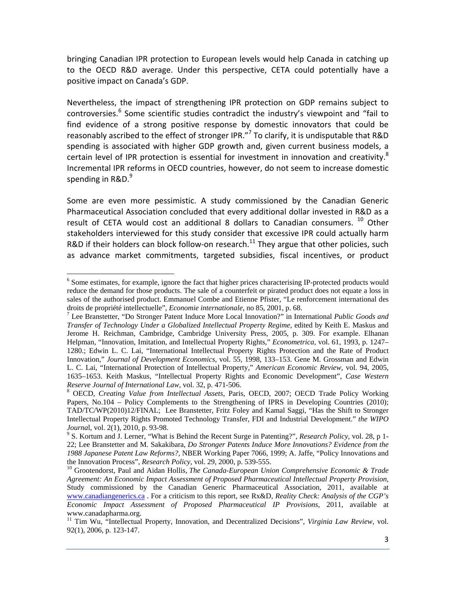bringing Canadian IPR protection to European levels would help Canada in catching up to the OECD R&D average. Under this perspective, CETA could potentially have a positive impact on Canada's GDP.

Nevertheless, the impact of strengthening IPR protection on GDP remains subject to controversies.<sup>6</sup> Some scientific studies contradict the industry's viewpoint and "fail to find evidence of a strong positive response by domestic innovators that could be reasonably ascribed to the effect of stronger IPR."<sup>7</sup> To clarify, it is undisputable that R&D spending is associated with higher GDP growth and, given current business models, a certain level of IPR protection is essential for investment in innovation and creativity. $8$ Incremental IPR reforms in OECD countries, however, do not seem to increase domestic spending in R&D. $^{9}$ 

Some are even more pessimistic. A study commissioned by the Canadian Generic Pharmaceutical Association concluded that every additional dollar invested in R&D as a result of CETA would cost an additional 8 dollars to Canadian consumers.  $^{10}$  Other stakeholders interviewed for this study consider that excessive IPR could actually harm R&D if their holders can block follow-on research.<sup>11</sup> They argue that other policies, such as advance market commitments, targeted subsidies, fiscal incentives, or product

<sup>&</sup>lt;sup>6</sup> Some estimates, for example, ignore the fact that higher prices characterising IP-protected products would reduce the demand for those products. The sale of a counterfeit or pirated product does not equate a loss in sales of the authorised product. Emmanuel Combe and Etienne Pfister, "Le renforcement international des droits de propriété intellectuelle", *Economie internationale*, no 85, 2001, p. 68. 7

Lee Branstetter, "Do Stronger Patent Induce More Local Innovation?" in International *Public Goods and Transfer of Technology Under a Globalized Intellectual Property Regime*, edited by Keith E. Maskus and Jerome H. Reichman, Cambridge, Cambridge University Press, 2005, p. 309. For example. Elhanan Helpman, "Innovation, Imitation, and Intellectual Property Rights," *Econometrica,* vol. 61, 1993, p. 1247– 1280.; Edwin L. C. Lai, "International Intellectual Property Rights Protection and the Rate of Product Innovation," *Journal of Development Economics,* vol. 55, 1998, 133–153. Gene M. Grossman and Edwin L. C. Lai, "International Protection of Intellectual Property," *American Economic Review,* vol. 94, 2005, 1635–1653. Keith Maskus, "Intellectual Property Rights and Economic Development", *Case Western Reserve Journal of International Law, vol.* 32, p. 471-506.

OECD, *Creating Value from Intellectual Assets*, Paris, OECD, 2007; OECD Trade Policy Working Papers, No.104 – Policy Complements to the Strengthening of IPRS in Developing Countries (2010); TAD/TC/WP(2010)12/FINAL; Lee Branstetter, Fritz Foley and Kamal Saggi, "Has the Shift to Stronger Intellectual Property Rights Promoted Technology Transfer, FDI and Industrial Development." *the WIPO* 

*Journa*l, vol. 2(1), 2010, p. 93-98. 9 S. Kortum and J. Lerner, "What is Behind the Recent Surge in Patenting?", *Research Policy*, vol. 28, p 1- 22; Lee Branstetter and M. Sakakibara, *Do Stronger Patents Induce More Innovations? Evidence from the 1988 Japanese Patent Law Reforms?,* NBER Working Paper 7066, 1999; A. Jaffe, "Policy Innovations and the Innovation Process", *Research Policy*, vol. 29, 2000, p. 539-555.<br><sup>10</sup> Grootendorst, Paul and Aidan Hollis, *The Canada-European Union Comprehensive Economic & Trade* 

*Agreement: An Economic Impact Assessment of Proposed Pharmaceutical Intellectual Property Provision*, Study commissioned by the Canadian Generic Pharmaceutical Association, 2011, available at www.canadiangenerics.ca . For a criticism to this report, see Rx&D, *Reality Check: Analysis of the CGP's Economic Impact Assessment of Proposed Pharmaceutical IP Provisions*, 2011, available at www.canadapharma.org.

<sup>11</sup> Tim Wu, "Intellectual Property, Innovation, and Decentralized Decisions", *Virginia Law Review*, vol. 92(1), 2006, p. 123-147.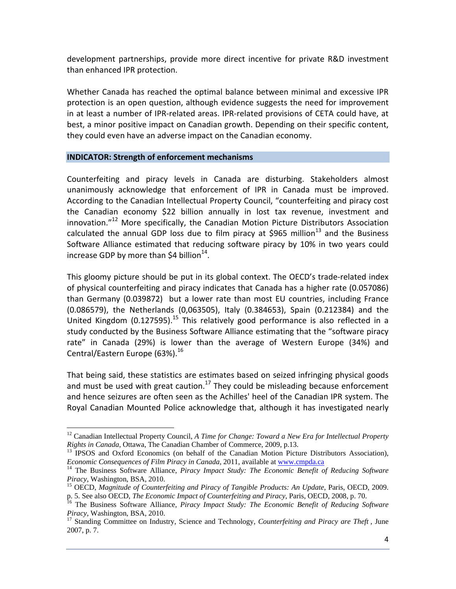development partnerships, provide more direct incentive for private R&D investment than enhanced IPR protection.

Whether Canada has reached the optimal balance between minimal and excessive IPR protection is an open question, although evidence suggests the need for improvement in at least a number of IPR‐related areas. IPR‐related provisions of CETA could have, at best, a minor positive impact on Canadian growth. Depending on their specific content, they could even have an adverse impact on the Canadian economy.

### **INDICATOR: Strength of enforcement mechanisms**

1

Counterfeiting and piracy levels in Canada are disturbing. Stakeholders almost unanimously acknowledge that enforcement of IPR in Canada must be improved. According to the Canadian Intellectual Property Council, "counterfeiting and piracy cost the Canadian economy \$22 billion annually in lost tax revenue, investment and innovation."<sup>12</sup> More specifically, the Canadian Motion Picture Distributors Association calculated the annual GDP loss due to film piracy at \$965 million<sup>13</sup> and the Business Software Alliance estimated that reducing software piracy by 10% in two years could increase GDP by more than  $\text{S4}$  billion<sup>14</sup>.

This gloomy picture should be put in its global context. The OECD's trade‐related index of physical counterfeiting and piracy indicates that Canada has a higher rate (0.057086) than Germany (0.039872) but a lower rate than most EU countries, including France (0.086579), the Netherlands (0,063505), Italy (0.384653), Spain (0.212384) and the United Kingdom (0.127595).<sup>15</sup> This relatively good performance is also reflected in a study conducted by the Business Software Alliance estimating that the "software piracy rate" in Canada (29%) is lower than the average of Western Europe (34%) and Central/Eastern Europe (63%).<sup>16</sup>

That being said, these statistics are estimates based on seized infringing physical goods and must be used with great caution.<sup>17</sup> They could be misleading because enforcement and hence seizures are often seen as the Achilles' heel of the Canadian IPR system. The Royal Canadian Mounted Police acknowledge that, although it has investigated nearly

<sup>&</sup>lt;sup>12</sup> Canadian Intellectual Property Council, *A Time for Change: Toward a New Era for Intellectual Property* 

*Rights in Canada*, Ottawa, The Canadian Chamber of Commerce, 2009, p.13.<br><sup>13</sup> IPSOS and Oxford Economics (on behalf of the Canadian Motion Picture Distributors Association),<br>*Economic Consequences of Film Piracy in Canada* 

<sup>&</sup>lt;sup>14</sup> The Business Software Alliance, *Piracy Impact Study: The Economic Benefit of Reducing Software Piracy*, Washington, BSA, 2010.

<sup>&</sup>lt;sup>15</sup> OECD, Magnitude of Counterfeiting and Piracy of Tangible Products: An Update, Paris, OECD, 2009. p. 5. See also OECD, *The Economic Impact of Counterfeiting and Piracy*, Paris, OECD, 2008, p. 70. 16 The Business Software Alliance, *Piracy Impact Study: The Economic Benefit of Reducing Software* 

*Piracy*, Washington, BSA, 2010.<br><sup>17</sup> Standing Committee on Industry, Science and Technology, *Counterfeiting and Piracy are Theft*, June

<sup>2007,</sup> p. 7.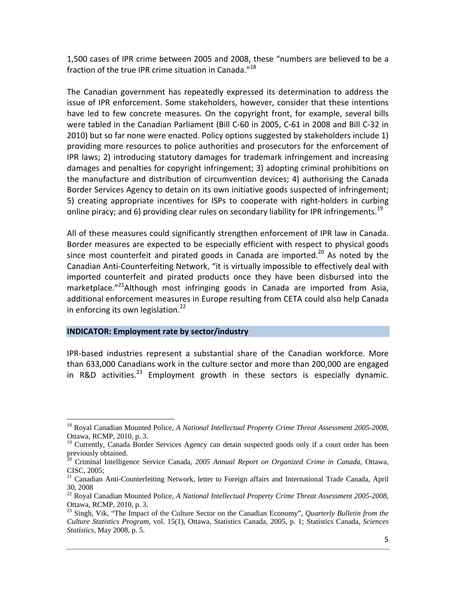1,500 cases of IPR crime between 2005 and 2008, these "numbers are believed to be a fraction of the true IPR crime situation in Canada."<sup>18</sup>

The Canadian government has repeatedly expressed its determination to address the issue of IPR enforcement. Some stakeholders, however, consider that these intentions have led to few concrete measures. On the copyright front, for example, several bills were tabled in the Canadian Parliament (Bill C‐60 in 2005, C‐61 in 2008 and Bill C‐32 in 2010) but so far none were enacted. Policy options suggested by stakeholders include 1) providing more resources to police authorities and prosecutors for the enforcement of IPR laws; 2) introducing statutory damages for trademark infringement and increasing damages and penalties for copyright infringement; 3) adopting criminal prohibitions on the manufacture and distribution of circumvention devices; 4) authorising the Canada Border Services Agency to detain on its own initiative goods suspected of infringement; 5) creating appropriate incentives for ISPs to cooperate with right-holders in curbing online piracy; and 6) providing clear rules on secondary liability for IPR infringements.<sup>19</sup>

All of these measures could significantly strengthen enforcement of IPR law in Canada. Border measures are expected to be especially efficient with respect to physical goods since most counterfeit and pirated goods in Canada are imported.<sup>20</sup> As noted by the Canadian Anti‐Counterfeiting Network, "it is virtually impossible to effectively deal with imported counterfeit and pirated products once they have been disbursed into the marketplace."<sup>21</sup>Although most infringing goods in Canada are imported from Asia, additional enforcement measures in Europe resulting from CETA could also help Canada in enforcing its own legislation. $^{22}$ 

#### **INDICATOR: Employment rate by sector/industry**

 $\overline{a}$ 

IPR‐based industries represent a substantial share of the Canadian workforce. More than 633,000 Canadians work in the culture sector and more than 200,000 are engaged in R&D activities.<sup>23</sup> Employment growth in these sectors is especially dynamic.

<sup>18</sup> Royal Canadian Mounted Police, *A National Intellectual Property Crime Threat Assessment 2005-2008*, Ottawa, RCMP, 2010, p. 3.

<sup>&</sup>lt;sup>19</sup> Currently, Canada Border Services Agency can detain suspected goods only if a court order has been previously obtained.

<sup>&</sup>lt;sup>20</sup> Criminal Intelligence Service Canada, 2005 Annual Report on Organized Crime in Canada, Ottawa, CISC, 2005;

<sup>&</sup>lt;sup>21</sup> Canadian Anti-Counterfeiting Network, letter to Foreign affairs and International Trade Canada, April 30, 2008

<sup>22</sup> Royal Canadian Mounted Police, *A National Intellectual Property Crime Threat Assessment 2005-2008*, Ottawa, RCMP, 2010, p. 3.

<sup>23</sup> Singh, Vik, "The Impact of the Culture Sector on the Canadian Economy", *Quarterly Bulletin from the Culture Statistics Program*, vol. 15(1), Ottawa, Statistics Canada, 2005, p. 1; Statistics Canada, *Sciences Statistics*, May 2008, p. 5.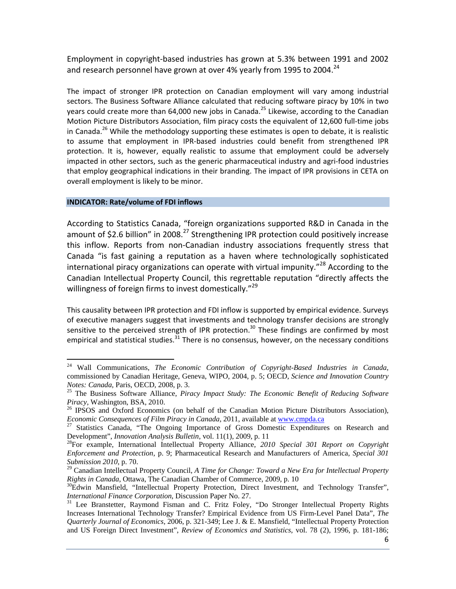Employment in copyright‐based industries has grown at 5.3% between 1991 and 2002 and research personnel have grown at over 4% yearly from 1995 to 2004. $^{24}$ 

The impact of stronger IPR protection on Canadian employment will vary among industrial sectors. The Business Software Alliance calculated that reducing software piracy by 10% in two years could create more than 64,000 new jobs in Canada.<sup>25</sup> Likewise, according to the Canadian Motion Picture Distributors Association, film piracy costs the equivalent of 12,600 full‐time jobs in Canada.<sup>26</sup> While the methodology supporting these estimates is open to debate, it is realistic to assume that employment in IPR‐based industries could benefit from strengthened IPR protection. It is, however, equally realistic to assume that employment could be adversely impacted in other sectors, such as the generic pharmaceutical industry and agri-food industries that employ geographical indications in their branding. The impact of IPR provisions in CETA on overall employment is likely to be minor.

#### **INDICATOR: Rate/volume of FDI inflows**

 $\overline{a}$ 

According to Statistics Canada, "foreign organizations supported R&D in Canada in the amount of \$2.6 billion" in 2008.<sup>27</sup> Strengthening IPR protection could positively increase this inflow. Reports from non‐Canadian industry associations frequently stress that Canada "is fast gaining a reputation as a haven where technologically sophisticated international piracy organizations can operate with virtual impunity. $128$  According to the Canadian Intellectual Property Council, this regrettable reputation "directly affects the willingness of foreign firms to invest domestically."<sup>29</sup>

This causality between IPR protection and FDI inflow is supported by empirical evidence. Surveys of executive managers suggest that investments and technology transfer decisions are strongly sensitive to the perceived strength of IPR protection.<sup>30</sup> These findings are confirmed by most empirical and statistical studies. $31$  There is no consensus, however, on the necessary conditions

<sup>24</sup> Wall Communications, *The Economic Contribution of Copyright-Based Industries in Canada*, commissioned by Canadian Heritage, Geneva, WIPO, 2004, p. 5; OECD, *Science and Innovation Country* 

*Notes: Canada*, Paris, OECD, 2008, p. 3.<br><sup>25</sup> The Business Software Alliance, *Piracy Impact Study: The Economic Benefit of Reducing Software Piracy*, Washington, BSA, 2010.

<sup>&</sup>lt;sup>26</sup> IPSOS and Oxford Economics (on behalf of the Canadian Motion Picture Distributors Association),

*Economic Consequences of Film Piracy in Canada,* 2011, available at <u>www.cmpda.ca</u> <sup>27</sup> Statistics Canada, "The Ongoing Importance of Gross Domestic Expenditures on Research and Development", *Innovation Analysis Bulletin* 

<sup>&</sup>lt;sup>28</sup>For example, International Intellectual Property Alliance, *2010 Special 301 Report on Copyright Enforcement and Protection*, p. 9; Pharmaceutical Research and Manufacturers of America, *Special 301 Submission 2010*, p. 70.

<sup>&</sup>lt;sup>29</sup> Canadian Intellectual Property Council, *A Time for Change: Toward a New Era for Intellectual Property Rights in Canada*, Ottawa, The Canadian Chamber of Commerce, 2009, p. 10

<sup>&</sup>lt;sup>30</sup>Edwin Mansfield, "Intellectual Property Protection, Direct Investment, and Technology Transfer", *International Finance Corporation*, Discussion Paper No. 27.

<sup>&</sup>lt;sup>31</sup> Lee Branstetter, Raymond Fisman and C. Fritz Foley, "Do Stronger Intellectual Property Rights Increases International Technology Transfer? Empirical Evidence from US Firm-Level Panel Data", *The Quarterly Journal of Economics*, 2006, p. 321-349; Lee J. & E. Mansfield, "Intellectual Property Protection and US Foreign Direct Investment", *Review of Economics and Statistics*, vol. 78 (2), 1996, p. 181-186;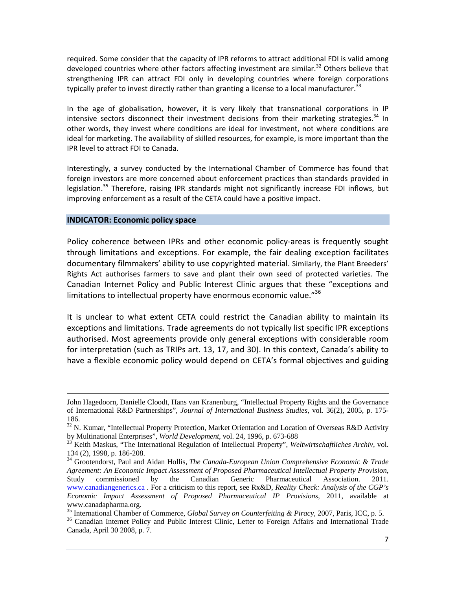required. Some consider that the capacity of IPR reforms to attract additional FDI is valid among developed countries where other factors affecting investment are similar.<sup>32</sup> Others believe that strengthening IPR can attract FDI only in developing countries where foreign corporations typically prefer to invest directly rather than granting a license to a local manufacturer.<sup>33</sup>

In the age of globalisation, however, it is very likely that transnational corporations in IP intensive sectors disconnect their investment decisions from their marketing strategies.<sup>34</sup> In other words, they invest where conditions are ideal for investment, not where conditions are ideal for marketing. The availability of skilled resources, for example, is more important than the IPR level to attract FDI to Canada.

Interestingly, a survey conducted by the International Chamber of Commerce has found that foreign investors are more concerned about enforcement practices than standards provided in legislation.<sup>35</sup> Therefore, raising IPR standards might not significantly increase FDI inflows, but improving enforcement as a result of the CETA could have a positive impact.

#### **INDICATOR: Economic policy space**

Policy coherence between IPRs and other economic policy-areas is frequently sought through limitations and exceptions. For example, the fair dealing exception facilitates documentary filmmakers' ability to use copyrighted material. Similarly, the Plant Breeders' Rights Act authorises farmers to save and plant their own seed of protected varieties. The Canadian Internet Policy and Public Interest Clinic argues that these "exceptions and limitations to intellectual property have enormous economic value."<sup>36</sup>

It is unclear to what extent CETA could restrict the Canadian ability to maintain its exceptions and limitations. Trade agreements do not typically list specific IPR exceptions authorised. Most agreements provide only general exceptions with considerable room for interpretation (such as TRIPs art. 13, 17, and 30). In this context, Canada's ability to have a flexible economic policy would depend on CETA's formal objectives and guiding

John Hagedoorn, Danielle Cloodt, Hans van Kranenburg, "Intellectual Property Rights and the Governance of International R&D Partnerships", *Journal of International Business Studies*, vol. 36(2), 2005, p. 175- 186.

 $32$  N. Kumar, "Intellectual Property Protection, Market Orientation and Location of Overseas R&D Activity by Multinational Enterprises", *World Development*, vol. 24, 1996, p. 673-688

<sup>&</sup>lt;sup>33</sup> Keith Maskus, "The International Regulation of Intellectual Property", *Weltwirtschaftliches Archiv*, vol. 134 (2), 1998, p. 186-208.

<sup>34</sup> Grootendorst, Paul and Aidan Hollis, *The Canada-European Union Comprehensive Economic & Trade Agreement: An Economic Impact Assessment of Proposed Pharmaceutical Intellectual Property Provision*, Study commissioned by the Canadian Generic Pharmaceutical Association. 2011. www.canadiangenerics.ca . For a criticism to this report, see Rx&D, *Reality Check: Analysis of the CGP's Economic Impact Assessment of Proposed Pharmaceutical IP Provisions*, 2011, available at www.canadapharma.org.

<sup>&</sup>lt;sup>35</sup> International Chamber of Commerce, *Global Survey on Counterfeiting & Piracy*, 2007, Paris, ICC, p. 5.<br><sup>36</sup> Canadian Internet Policy and Public Interest Clinic, Letter to Foreign Affairs and International Trade

Canada, April 30 2008, p. 7.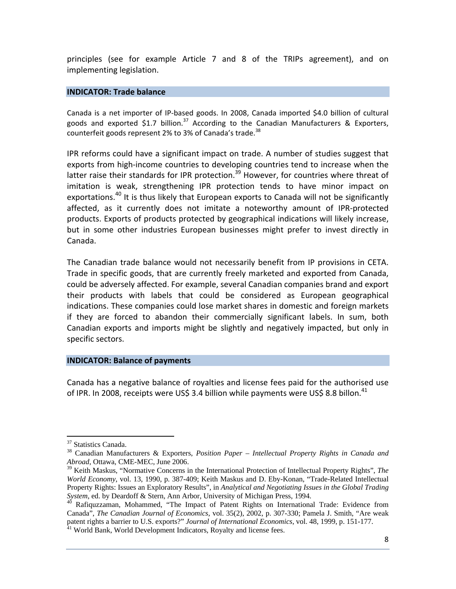principles (see for example Article 7 and 8 of the TRIPs agreement), and on implementing legislation.

#### **INDICATOR: Trade balance**

Canada is a net importer of IP‐based goods. In 2008, Canada imported \$4.0 billion of cultural goods and exported \$1.7 billion.<sup>37</sup> According to the Canadian Manufacturers & Exporters, counterfeit goods represent 2% to 3% of Canada's trade.<sup>38</sup>

IPR reforms could have a significant impact on trade. A number of studies suggest that exports from high-income countries to developing countries tend to increase when the latter raise their standards for IPR protection.<sup>39</sup> However, for countries where threat of imitation is weak, strengthening IPR protection tends to have minor impact on exportations.<sup>40</sup> It is thus likely that European exports to Canada will not be significantly affected, as it currently does not imitate a noteworthy amount of IPR‐protected products. Exports of products protected by geographical indications will likely increase, but in some other industries European businesses might prefer to invest directly in Canada.

The Canadian trade balance would not necessarily benefit from IP provisions in CETA. Trade in specific goods, that are currently freely marketed and exported from Canada, could be adversely affected. For example, several Canadian companies brand and export their products with labels that could be considered as European geographical indications. These companies could lose market shares in domestic and foreign markets if they are forced to abandon their commercially significant labels. In sum, both Canadian exports and imports might be slightly and negatively impacted, but only in specific sectors.

#### **INDICATOR: Balance of payments**

Canada has a negative balance of royalties and license fees paid for the authorised use of IPR. In 2008, receipts were US\$ 3.4 billion while payments were US\$ 8.8 billon.<sup>41</sup>

<u>.</u>

<sup>&</sup>lt;sup>37</sup> Statistics Canada.

<sup>38</sup> Canadian Manufacturers & Exporters, *Position Paper – Intellectual Property Rights in Canada and Abroad*, Ottawa, CME-MEC, June 2006.

<sup>39</sup> Keith Maskus, "Normative Concerns in the International Protection of Intellectual Property Rights", *The World Economy*, vol. 13, 1990, p. 387-409; Keith Maskus and D. Eby-Konan, "Trade-Related Intellectual Property Rights: Issues an Exploratory Results", in *Analytical and Negotiating Issues in the Global Trading System*, ed. by Deardoff & Stern, Ann Arbor, University of Michigan Press, 1994.<br><sup>40</sup> Rafiquzzaman, Mohammed, "The Impact of Patent Rights on International Trade: Evidence from

Canada", *The Canadian Journal of Economics*, vol. 35(2), 2002, p. 307-330; Pamela J. Smith, "Are weak patent rights a barrier to U.S. exports?" *Journal of International Economics*, vol. 48, 1999, p. 151-177.<br><sup>41</sup> World Bank, World Development Indicators, Royalty and license fees.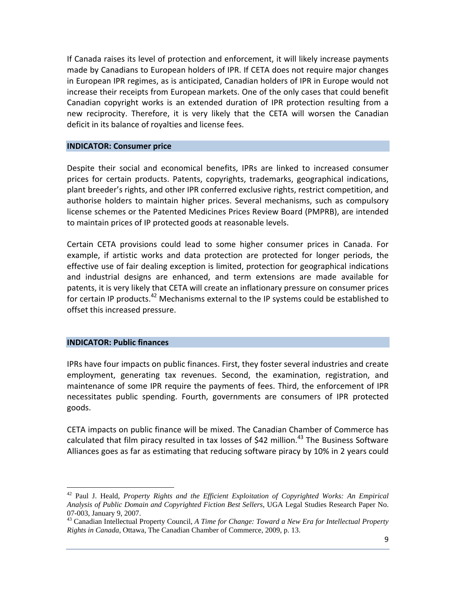If Canada raises its level of protection and enforcement, it will likely increase payments made by Canadians to European holders of IPR. If CETA does not require major changes in European IPR regimes, as is anticipated, Canadian holders of IPR in Europe would not increase their receipts from European markets. One of the only cases that could benefit Canadian copyright works is an extended duration of IPR protection resulting from a new reciprocity. Therefore, it is very likely that the CETA will worsen the Canadian deficit in its balance of royalties and license fees.

#### **INDICATOR: Consumer price**

Despite their social and economical benefits, IPRs are linked to increased consumer prices for certain products. Patents, copyrights, trademarks, geographical indications, plant breeder's rights, and other IPR conferred exclusive rights, restrict competition, and authorise holders to maintain higher prices. Several mechanisms, such as compulsory license schemes or the Patented Medicines Prices Review Board (PMPRB), are intended to maintain prices of IP protected goods at reasonable levels.

Certain CETA provisions could lead to some higher consumer prices in Canada. For example, if artistic works and data protection are protected for longer periods, the effective use of fair dealing exception is limited, protection for geographical indications and industrial designs are enhanced, and term extensions are made available for patents, it is very likely that CETA will create an inflationary pressure on consumer prices for certain IP products.<sup>42</sup> Mechanisms external to the IP systems could be established to offset this increased pressure.

#### **INDICATOR: Public finances**

 $\overline{a}$ 

IPRs have four impacts on public finances. First, they foster several industries and create employment, generating tax revenues. Second, the examination, registration, and maintenance of some IPR require the payments of fees. Third, the enforcement of IPR necessitates public spending. Fourth, governments are consumers of IPR protected goods.

CETA impacts on public finance will be mixed. The Canadian Chamber of Commerce has calculated that film piracy resulted in tax losses of \$42 million.<sup>43</sup> The Business Software Alliances goes as far as estimating that reducing software piracy by 10% in 2 years could

<sup>42</sup> Paul J. Heald, *Property Rights and the Efficient Exploitation of Copyrighted Works: An Empirical Analysis of Public Domain and Copyrighted Fiction Best Sellers*, UGA Legal Studies Research Paper No. 07-003, January 9, 2007.

<sup>43</sup> Canadian Intellectual Property Council, *A Time for Change: Toward a New Era for Intellectual Property Rights in Canada*, Ottawa, The Canadian Chamber of Commerce, 2009, p. 13.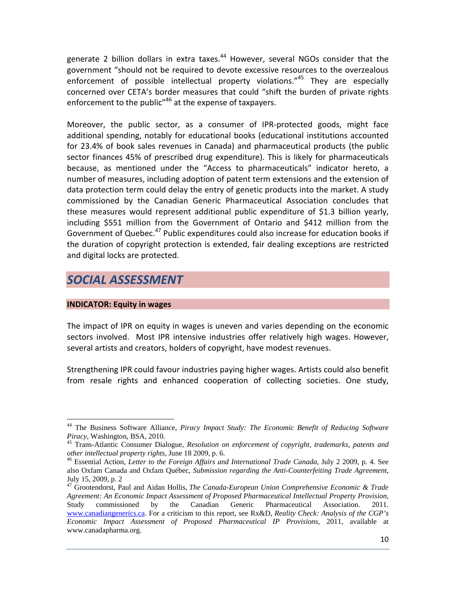generate 2 billion dollars in extra taxes.<sup>44</sup> However, several NGOs consider that the government "should not be required to devote excessive resources to the overzealous enforcement of possible intellectual property violations."<sup>45</sup> They are especially concerned over CETA's border measures that could "shift the burden of private rights enforcement to the public<sup>"46</sup> at the expense of taxpayers.

Moreover, the public sector, as a consumer of IPR-protected goods, might face additional spending, notably for educational books (educational institutions accounted for 23.4% of book sales revenues in Canada) and pharmaceutical products (the public sector finances 45% of prescribed drug expenditure). This is likely for pharmaceuticals because, as mentioned under the "Access to pharmaceuticals" indicator hereto, a number of measures, including adoption of patent term extensions and the extension of data protection term could delay the entry of genetic products into the market. A study commissioned by the Canadian Generic Pharmaceutical Association concludes that these measures would represent additional public expenditure of \$1.3 billion yearly, including \$551 million from the Government of Ontario and \$412 million from the Government of Quebec.<sup>47</sup> Public expenditures could also increase for education books if the duration of copyright protection is extended, fair dealing exceptions are restricted and digital locks are protected.

# *SOCIAL ASSESSMENT*

### **INDICATOR: Equity in wages**

 $\overline{a}$ 

The impact of IPR on equity in wages is uneven and varies depending on the economic sectors involved. Most IPR intensive industries offer relatively high wages. However, several artists and creators, holders of copyright, have modest revenues.

Strengthening IPR could favour industries paying higher wages. Artists could also benefit from resale rights and enhanced cooperation of collecting societies. One study,

<sup>44</sup> The Business Software Alliance, *Piracy Impact Study: The Economic Benefit of Reducing Software* 

*Piracy*, Washington, BSA, 2010.<br><sup>45</sup> Trans-Atlantic Consumer Dialogue, *Resolution on enforcement of copyright, trademarks, patents and other intellectual property rights, June 18 2009, p. 6.* 

<sup>&</sup>lt;sup>46</sup> Essential Action, *Letter to the Foreign Affairs and International Trade Canada*, July 2 2009, p. 4. See also Oxfam Canada and Oxfam Québec, *Submission regarding the Anti-Counterfeiting Trade Agreement*, July 15, 2009, p. 2

<sup>47</sup> Grootendorst, Paul and Aidan Hollis, *The Canada-European Union Comprehensive Economic & Trade Agreement: An Economic Impact Assessment of Proposed Pharmaceutical Intellectual Property Provision*, Study commissioned by the Canadian Generic Pharmaceutical Association. 2011. www.canadiangenerics.ca. For a criticism to this report, see Rx&D, *Reality Check: Analysis of the CGP's Economic Impact Assessment of Proposed Pharmaceutical IP Provisions*, 2011, available at www.canadapharma.org.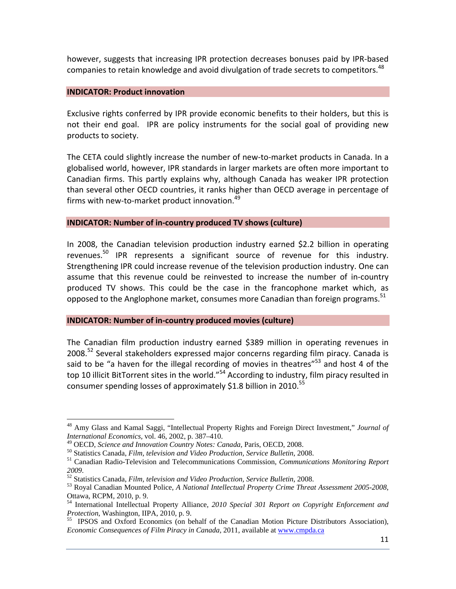however, suggests that increasing IPR protection decreases bonuses paid by IPR‐based companies to retain knowledge and avoid divulgation of trade secrets to competitors.<sup>48</sup>

### **INDICATOR: Product innovation**

 $\overline{a}$ 

Exclusive rights conferred by IPR provide economic benefits to their holders, but this is not their end goal. IPR are policy instruments for the social goal of providing new products to society.

The CETA could slightly increase the number of new‐to‐market products in Canada. In a globalised world, however, IPR standards in larger markets are often more important to Canadian firms. This partly explains why, although Canada has weaker IPR protection than several other OECD countries, it ranks higher than OECD average in percentage of firms with new-to-market product innovation.<sup>49</sup>

### **INDICATOR: Number of in‐country produced TV shows (culture)**

In 2008, the Canadian television production industry earned \$2.2 billion in operating revenues.<sup>50</sup> IPR represents a significant source of revenue for this industry. Strengthening IPR could increase revenue of the television production industry. One can assume that this revenue could be reinvested to increase the number of in‐country produced TV shows. This could be the case in the francophone market which, as opposed to the Anglophone market, consumes more Canadian than foreign programs.<sup>51</sup>

#### **INDICATOR: Number of in‐country produced movies (culture)**

The Canadian film production industry earned \$389 million in operating revenues in 2008.<sup>52</sup> Several stakeholders expressed major concerns regarding film piracy. Canada is said to be "a haven for the illegal recording of movies in theatres" $53$  and host 4 of the top 10 illicit BitTorrent sites in the world."<sup>54</sup> According to industry, film piracy resulted in consumer spending losses of approximately \$1.8 billion in 2010.<sup>55</sup>

<sup>48</sup> Amy Glass and Kamal Saggi, "Intellectual Property Rights and Foreign Direct Investment," *Journal of International Economics,* vol. 46, 2002, p. 387–410.

<sup>&</sup>lt;sup>50</sup> Statistics Canada, *Film, television and Video Production, Service Bulletin,* 2008.<br><sup>51</sup> Canadian Radio-Television and Telecommunications Commission, *Communications Monitoring Report* 2009.

<sup>&</sup>lt;sup>52</sup> Statistics Canada, *Film, television and Video Production, Service Bulletin, 2008.*<br><sup>53</sup> Roval Canadian Mounted Police, *A National Intellectual Property Crime Threat Assessment 2005-2008*, Ottawa, RCPM, 2010, p. 9.

<sup>54</sup> International Intellectual Property Alliance, *2010 Special 301 Report on Copyright Enforcement and Protection*, Washington, IIPA, 2010, p. 9.<br><sup>55</sup> IPSOS and Oxford Economics (on behalf of the Canadian Motion Picture Distributors Association),

*Economic Consequences of Film Piracy in Canada,* 2011, available at www.cmpda.ca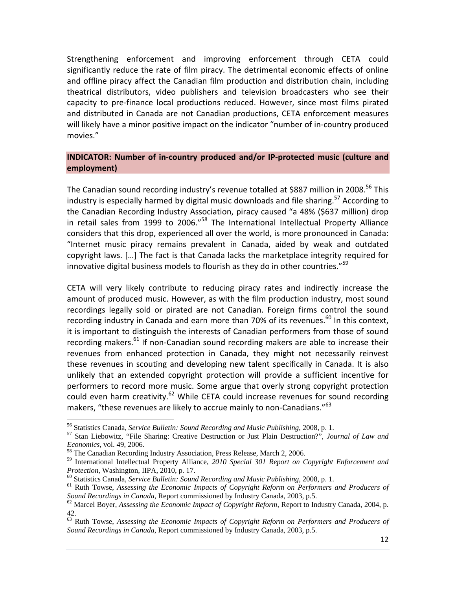Strengthening enforcement and improving enforcement through CETA could significantly reduce the rate of film piracy. The detrimental economic effects of online and offline piracy affect the Canadian film production and distribution chain, including theatrical distributors, video publishers and television broadcasters who see their capacity to pre‐finance local productions reduced. However, since most films pirated and distributed in Canada are not Canadian productions, CETA enforcement measures will likely have a minor positive impact on the indicator "number of in‐country produced movies."

### **INDICATOR: Number of in‐country produced and/or IP‐protected music (culture and employment)**

The Canadian sound recording industry's revenue totalled at \$887 million in 2008.<sup>56</sup> This industry is especially harmed by digital music downloads and file sharing.<sup>57</sup> According to the Canadian Recording Industry Association, piracy caused "a 48% (\$637 million) drop in retail sales from 1999 to 2006."<sup>58</sup> The International Intellectual Property Alliance considers that this drop, experienced all over the world, is more pronounced in Canada: "Internet music piracy remains prevalent in Canada, aided by weak and outdated copyright laws. […] The fact is that Canada lacks the marketplace integrity required for innovative digital business models to flourish as they do in other countries." $59$ 

CETA will very likely contribute to reducing piracy rates and indirectly increase the amount of produced music. However, as with the film production industry, most sound recordings legally sold or pirated are not Canadian. Foreign firms control the sound recording industry in Canada and earn more than 70% of its revenues. $^{60}$  In this context, it is important to distinguish the interests of Canadian performers from those of sound recording makers. $^{61}$  If non-Canadian sound recording makers are able to increase their revenues from enhanced protection in Canada, they might not necessarily reinvest these revenues in scouting and developing new talent specifically in Canada. It is also unlikely that an extended copyright protection will provide a sufficient incentive for performers to record more music. Some argue that overly strong copyright protection could even harm creativity. $62$  While CETA could increase revenues for sound recording makers, "these revenues are likely to accrue mainly to non-Canadians."<sup>63</sup>

<sup>&</sup>lt;sup>56</sup> Statistics Canada, *Service Bulletin: Sound Recording and Music Publishing*, 2008, p. 1.<br><sup>57</sup> Stan Liebowitz, "File Sharing: Creative Destruction or Just Plain Destruction?", *Journal of Law and Economics*, vol. 49,

<sup>&</sup>lt;sup>58</sup> The Canadian Recording Industry Association, Press Release, March 2, 2006.

<sup>59</sup> International Intellectual Property Alliance, *2010 Special 301 Report on Copyright Enforcement and* 

<sup>&</sup>lt;sup>60</sup> Statistics Canada, *Service Bulletin: Sound Recording and Music Publishing*, 2008, p. 1.<br><sup>61</sup> Ruth Towse, *Assessing the Economic Impacts of Copyright Reform on Performers and Producers of Sound Recordings in Canada,* 

<sup>&</sup>lt;sup>62</sup> Marcel Boyer, *Assessing the Economic Impact of Copyright Reform*, Report to Industry Canada, 2004, p. 42.

<sup>63</sup> Ruth Towse, *Assessing the Economic Impacts of Copyright Reform on Performers and Producers of Sound Recordings in Canada*, Report commissioned by Industry Canada, 2003, p.5.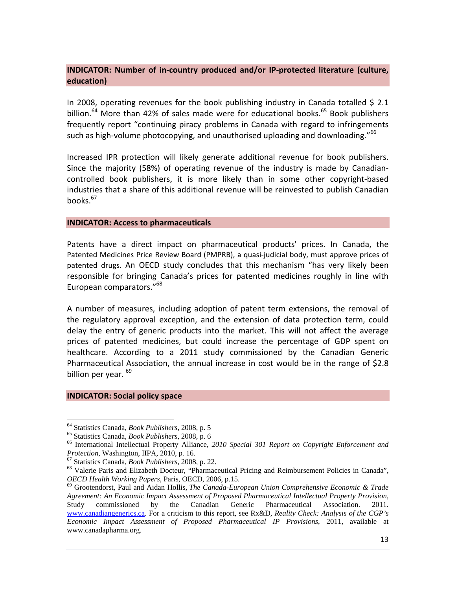### **INDICATOR: Number of in‐country produced and/or IP‐protected literature (culture, education)**

In 2008, operating revenues for the book publishing industry in Canada totalled \$ 2.1 billion.<sup>64</sup> More than 42% of sales made were for educational books.<sup>65</sup> Book publishers frequently report "continuing piracy problems in Canada with regard to infringements such as high-volume photocopying, and unauthorised uploading and downloading."<sup>66</sup>

Increased IPR protection will likely generate additional revenue for book publishers. Since the majority (58%) of operating revenue of the industry is made by Canadian‐ controlled book publishers, it is more likely than in some other copyright‐based industries that a share of this additional revenue will be reinvested to publish Canadian books. $67$ 

#### **INDICATOR: Access to pharmaceuticals**

Patents have a direct impact on pharmaceutical products' prices. In Canada, the Patented Medicines Price Review Board (PMPRB), a quasi‐judicial body, must approve prices of patented drugs. An OECD study concludes that this mechanism "has very likely been responsible for bringing Canada's prices for patented medicines roughly in line with European comparators."<sup>68</sup>

A number of measures, including adoption of patent term extensions, the removal of the regulatory approval exception, and the extension of data protection term, could delay the entry of generic products into the market. This will not affect the average prices of patented medicines, but could increase the percentage of GDP spent on healthcare. According to a 2011 study commissioned by the Canadian Generic Pharmaceutical Association, the annual increase in cost would be in the range of \$2.8 billion per year. <sup>69</sup>

#### **INDICATOR: Social policy space**

<sup>&</sup>lt;sup>64</sup> Statistics Canada, *Book Publishers*, 2008, p. 5<br><sup>65</sup> Statistics Canada, *Book Publishers*, 2008, p. 6<br><sup>66</sup> International Intellectual Property Alliance, *2010 Special 301 Report on Copyright Enforcement and* 

*Protection*, Washington, IIPA, 2010, p. 16.<br><sup>67</sup> Statistics Canada, *Book Publishers*, 2008, p. 22.<br><sup>68</sup> Valerie Paris and Elizabeth Docteur, "Pharmaceutical Pricing and Reimbursement Policies in Canada",<br>*OECD Health Wor* 

<sup>&</sup>lt;sup>69</sup> Grootendorst, Paul and Aidan Hollis, *The Canada-European Union Comprehensive Economic & Trade Agreement: An Economic Impact Assessment of Proposed Pharmaceutical Intellectual Property Provision*, Study commissioned by the Canadian Generic Pharmaceutical Association. 2011. www.canadiangenerics.ca. For a criticism to this report, see Rx&D, *Reality Check: Analysis of the CGP's Economic Impact Assessment of Proposed Pharmaceutical IP Provisions*, 2011, available at www.canadapharma.org.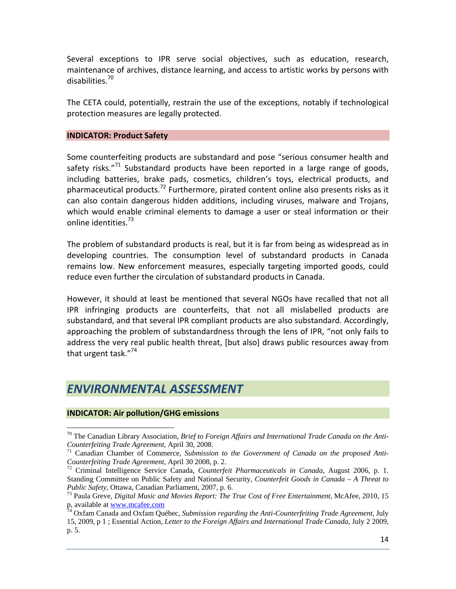Several exceptions to IPR serve social objectives, such as education, research, maintenance of archives, distance learning, and access to artistic works by persons with disabilities.<sup>70</sup>

The CETA could, potentially, restrain the use of the exceptions, notably if technological protection measures are legally protected.

#### **INDICATOR: Product Safety**

Some counterfeiting products are substandard and pose "serious consumer health and safety risks."<sup>71</sup> Substandard products have been reported in a large range of goods, including batteries, brake pads, cosmetics, children's toys, electrical products, and pharmaceutical products.<sup>72</sup> Furthermore, pirated content online also presents risks as it can also contain dangerous hidden additions, including viruses, malware and Trojans, which would enable criminal elements to damage a user or steal information or their online identities.<sup>73</sup>

The problem of substandard products is real, but it is far from being as widespread as in developing countries. The consumption level of substandard products in Canada remains low. New enforcement measures, especially targeting imported goods, could reduce even further the circulation of substandard products in Canada.

However, it should at least be mentioned that several NGOs have recalled that not all IPR infringing products are counterfeits, that not all mislabelled products are substandard, and that several IPR compliant products are also substandard. Accordingly, approaching the problem of substandardness through the lens of IPR, "not only fails to address the very real public health threat, [but also] draws public resources away from that urgent task."<sup>74</sup>

## *ENVIRONMENTAL ASSESSMENT*

### **INDICATOR: Air pollution/GHG emissions**

<sup>70</sup> The Canadian Library Association, *Brief to Foreign Affairs and International Trade Canada on the Anti-*

*Counterfeiting Trade Agreement*, April 30, 2008.<br><sup>71</sup> Canadian Chamber of Commerce, *Submission to the Government of Canada on the proposed Anti-*<br>*Counterfeiting Trade Agreement*, April 30 2008, p. 2.

<sup>&</sup>lt;sup>72</sup> Criminal Intelligence Service Canada, *Counterfeit Pharmaceuticals in Canada*, August 2006, p. 1. Standing Committee on Public Safety and National Security, *Counterfeit Goods in Canada – A Threat to Public Safety*, Ottawa, Canadian Parliament, 2007, p. 6.<br><sup>73</sup> Paula Greve, *Digital Music and Movies Report: The True Cost of Free Entertainment*, McAfee, 2010, 15

p, available at <u>www.mcafee.com</u><br><sup>74</sup> Oxfam Canada and Oxfam Québec, *Submission regarding the Anti-Counterfeiting Trade Agreement*, July

<sup>15, 2009,</sup> p 1 ; Essential Action, *Letter to the Foreign Affairs and International Trade Canada*, July 2 2009, p. 5.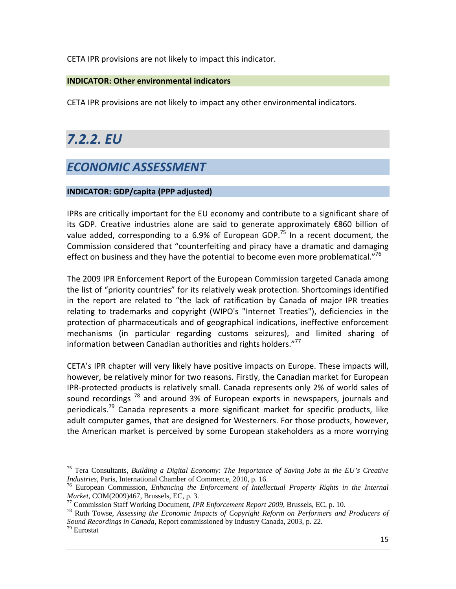CETA IPR provisions are not likely to impact this indicator.

### **INDICATOR: Other environmental indicators**

CETA IPR provisions are not likely to impact any other environmental indicators.

# *7.2.2. EU*

# *ECONOMIC ASSESSMENT*

### **INDICATOR: GDP/capita (PPP adjusted)**

IPRs are critically important for the EU economy and contribute to a significant share of its GDP. Creative industries alone are said to generate approximately €860 billion of value added, corresponding to a 6.9% of European GDP.<sup>75</sup> In a recent document, the Commission considered that "counterfeiting and piracy have a dramatic and damaging effect on business and they have the potential to become even more problematical."<sup>76</sup>

The 2009 IPR Enforcement Report of the European Commission targeted Canada among the list of "priority countries" for its relatively weak protection. Shortcomings identified in the report are related to "the lack of ratification by Canada of major IPR treaties relating to trademarks and copyright (WIPO's "Internet Treaties"), deficiencies in the protection of pharmaceuticals and of geographical indications, ineffective enforcement mechanisms (in particular regarding customs seizures), and limited sharing of information between Canadian authorities and rights holders."<sup>77</sup>

CETA's IPR chapter will very likely have positive impacts on Europe. These impacts will, however, be relatively minor for two reasons. Firstly, the Canadian market for European IPR‐protected products is relatively small. Canada represents only 2% of world sales of sound recordings  $^{78}$  and around 3% of European exports in newspapers, journals and periodicals.<sup>79</sup> Canada represents a more significant market for specific products, like adult computer games, that are designed for Westerners. For those products, however, the American market is perceived by some European stakeholders as a more worrying

<sup>&</sup>lt;sup>75</sup> Tera Consultants, *Building a Digital Economy: The Importance of Saving Jobs in the EU's Creative Industries, Paris, International Chamber of Commerce, 2010, p. 16.* 

<sup>&</sup>lt;sup>76</sup> European Commission, *Enhancing the Enforcement of Intellectual Property Rights in the Internal Market, COM(2009)467, Brussels, EC, p. 3.* 

<sup>&</sup>lt;sup>77</sup> Commission Staff Working Document, *IPR Enforcement Report 2009*, Brussels, EC, p. 10.<br><sup>78</sup> Ruth Towse, *Assessing the Economic Impacts of Copyright Reform on Performers and Producers of Sound Recordings in Canada*, Report commissioned by Industry Canada, 2003, p. 22.<br><sup>79</sup> Eurostat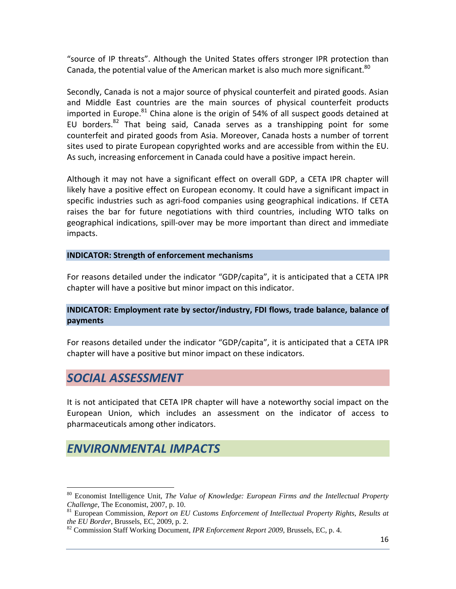"source of IP threats". Although the United States offers stronger IPR protection than Canada, the potential value of the American market is also much more significant.<sup>80</sup>

Secondly, Canada is not a major source of physical counterfeit and pirated goods. Asian and Middle East countries are the main sources of physical counterfeit products imported in Europe. $81$  China alone is the origin of 54% of all suspect goods detained at EU borders.<sup>82</sup> That being said, Canada serves as a transhipping point for some counterfeit and pirated goods from Asia. Moreover, Canada hosts a number of torrent sites used to pirate European copyrighted works and are accessible from within the EU. As such, increasing enforcement in Canada could have a positive impact herein.

Although it may not have a significant effect on overall GDP, a CETA IPR chapter will likely have a positive effect on European economy. It could have a significant impact in specific industries such as agri‐food companies using geographical indications. If CETA raises the bar for future negotiations with third countries, including WTO talks on geographical indications, spill‐over may be more important than direct and immediate impacts.

### **INDICATOR: Strength of enforcement mechanisms**

For reasons detailed under the indicator "GDP/capita", it is anticipated that a CETA IPR chapter will have a positive but minor impact on this indicator.

### **INDICATOR: Employment rate by sector/industry, FDI flows, trade balance, balance of payments**

For reasons detailed under the indicator "GDP/capita", it is anticipated that a CETA IPR chapter will have a positive but minor impact on these indicators.

### *SOCIAL ASSESSMENT*

 $\overline{a}$ 

It is not anticipated that CETA IPR chapter will have a noteworthy social impact on the European Union, which includes an assessment on the indicator of access to pharmaceuticals among other indicators.

### *ENVIRONMENTAL IMPACTS*

<sup>80</sup> Economist Intelligence Unit, *The Value of Knowledge: European Firms and the Intellectual Property* 

*Challenge*, The Economist, 2007, p. 10.<br><sup>81</sup> European Commission, *Report on EU Customs Enforcement of Intellectual Property Rights, Results at the EU Border, Brussels, EC, 2009, p. 2.* 

<sup>&</sup>lt;sup>82</sup> Commission Staff Working Document, *IPR Enforcement Report 2009*, Brussels, EC, p. 4.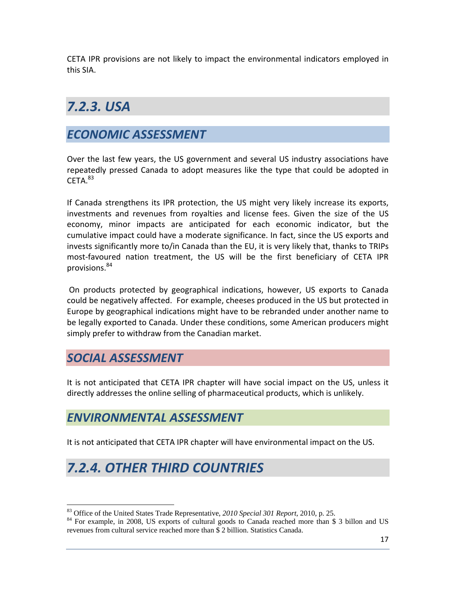CETA IPR provisions are not likely to impact the environmental indicators employed in this SIA.

# *7.2.3. USA*

# *ECONOMIC ASSESSMENT*

Over the last few years, the US government and several US industry associations have repeatedly pressed Canada to adopt measures like the type that could be adopted in  $CFTA.<sup>83</sup>$ 

If Canada strengthens its IPR protection, the US might very likely increase its exports, investments and revenues from royalties and license fees. Given the size of the US economy, minor impacts are anticipated for each economic indicator, but the cumulative impact could have a moderate significance. In fact, since the US exports and invests significantly more to/in Canada than the EU, it is very likely that, thanks to TRIPs most‐favoured nation treatment, the US will be the first beneficiary of CETA IPR provisions.<sup>84</sup>

On products protected by geographical indications, however, US exports to Canada could be negatively affected. For example, cheeses produced in the US but protected in Europe by geographical indications might have to be rebranded under another name to be legally exported to Canada. Under these conditions, some American producers might simply prefer to withdraw from the Canadian market.

## *SOCIAL ASSESSMENT*

It is not anticipated that CETA IPR chapter will have social impact on the US, unless it directly addresses the online selling of pharmaceutical products, which is unlikely.

### *ENVIRONMENTAL ASSESSMENT*

It is not anticipated that CETA IPR chapter will have environmental impact on the US.

# *7.2.4. OTHER THIRD COUNTRIES*

<sup>&</sup>lt;sup>83</sup> Office of the United States Trade Representative, 2010 Special 301 Report, 2010, p. 25.

<sup>&</sup>lt;sup>84</sup> For example, in 2008, US exports of cultural goods to Canada reached more than \$ 3 billon and US revenues from cultural service reached more than \$ 2 billion. Statistics Canada.